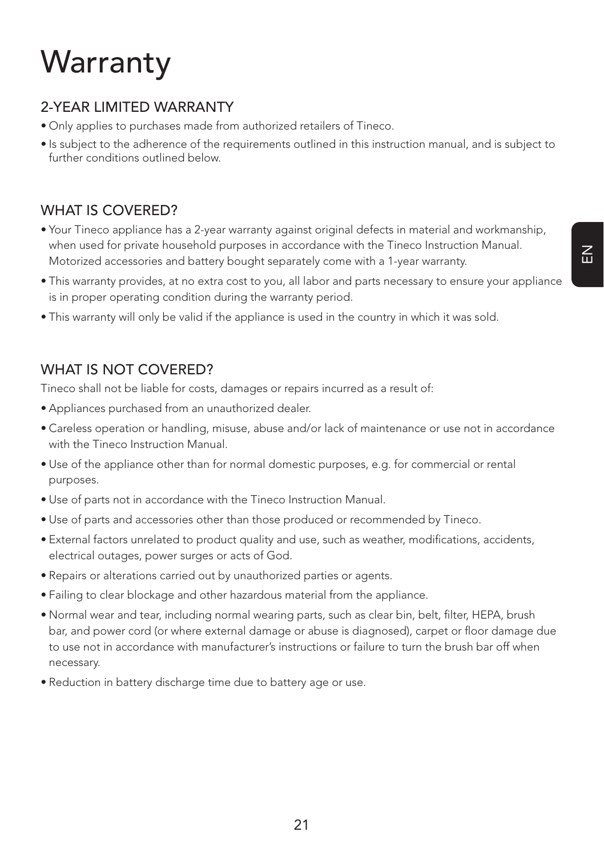# **Warranty**

## 2-YEAR LIMITED WARRANTY

- Only applies to purchases made from authorized retailers of Tineco.
- Is subject to the adherence of the requirements outlined in this instruction manual, and is subject to further conditions outlined below.

### WHAT IS COVERED?

- Your Tineco appliance has a 2-year warranty against original defects in material and workmanship, when used for private household purposes in accordance with the Tineco Instruction Manual. Motorized accessories and battery bought separately come with a 1-year warranty.
- This warranty provides, at no extra cost to you, all labor and parts necessary to ensure your appliance is in proper operating condition during the warranty period.
- This warranty will only be valid if the appliance is used in the country in which it was sold.

## WHAT IS NOT COVERED?

Tineco shall not be liable for costs, damages or repairs incurred as a result of:

- Appliances purchased from an unauthorized dealer.
- Careless operation or handling, misuse, abuse and/or lack of maintenance or use not in accordance with the Tineco Instruction Manual.
- Use of the appliance other than for normal domestic purposes, e.g. for commercial or rental purposes.
- Use of parts not in accordance with the Tineco Instruction Manual.
- Use of parts and accessories other than those produced or recommended by Tineco.
- External factors unrelated to product quality and use, such as weather, modifications, accidents, electrical outages, power surges or acts of God.
- Repairs or alterations carried out by unauthorized parties or agents.
- Failing to clear blockage and other hazardous material from the appliance.
- Normal wear and tear, including normal wearing parts, such as clear bin, belt, filter, HEPA, brush bar, and power cord (or where external damage or abuse is diagnosed), carpet or floor damage due to use not in accordance with manufacturer's instructions or failure to turn the brush bar off when necessary.
- Reduction in battery discharge time due to battery age or use.